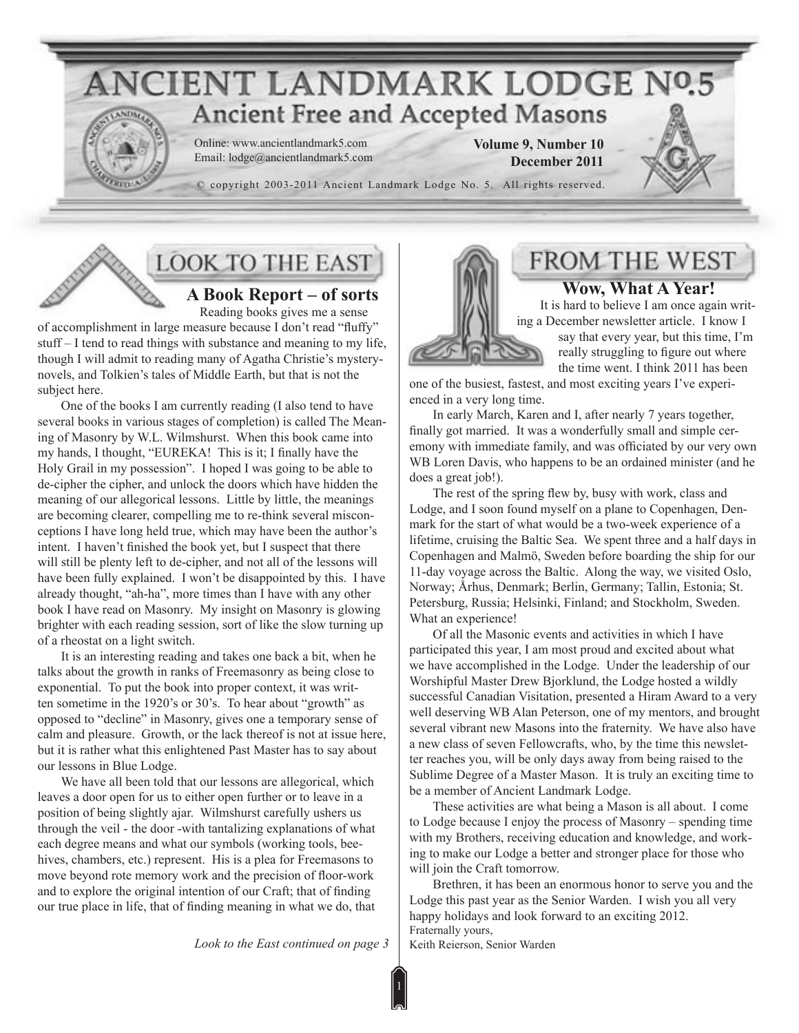## NCIENT LANDMARK LODGE Nº.5 **Ancient Free and Accepted Masons**

Online: www.ancientlandmark5.com Email: lodge@ancientlandmark5.com **Volume 9, Number 10 December 2011**

© copyright 2003-2011 Ancient Landmark Lodge No. 5. All rights reserved.

### **LOOK TO THE EAST**

**A Book Report – of sorts**

Reading books gives me a sense of accomplishment in large measure because I don't read "fluffy" stuff – I tend to read things with substance and meaning to my life, though I will admit to reading many of Agatha Christie's mysterynovels, and Tolkien's tales of Middle Earth, but that is not the subject here.

One of the books I am currently reading (I also tend to have several books in various stages of completion) is called The Meaning of Masonry by W.L. Wilmshurst. When this book came into my hands, I thought, "EUREKA! This is it; I finally have the Holy Grail in my possession". I hoped I was going to be able to de-cipher the cipher, and unlock the doors which have hidden the meaning of our allegorical lessons. Little by little, the meanings are becoming clearer, compelling me to re-think several misconceptions I have long held true, which may have been the author's intent. I haven't finished the book yet, but I suspect that there will still be plenty left to de-cipher, and not all of the lessons will have been fully explained. I won't be disappointed by this. I have already thought, "ah-ha", more times than I have with any other book I have read on Masonry. My insight on Masonry is glowing brighter with each reading session, sort of like the slow turning up of a rheostat on a light switch.

It is an interesting reading and takes one back a bit, when he talks about the growth in ranks of Freemasonry as being close to exponential. To put the book into proper context, it was written sometime in the 1920's or 30's. To hear about "growth" as opposed to "decline" in Masonry, gives one a temporary sense of calm and pleasure. Growth, or the lack thereof is not at issue here, but it is rather what this enlightened Past Master has to say about our lessons in Blue Lodge.

We have all been told that our lessons are allegorical, which leaves a door open for us to either open further or to leave in a position of being slightly ajar. Wilmshurst carefully ushers us through the veil - the door -with tantalizing explanations of what each degree means and what our symbols (working tools, beehives, chambers, etc.) represent. His is a plea for Freemasons to move beyond rote memory work and the precision of floor-work and to explore the original intention of our Craft; that of finding our true place in life, that of finding meaning in what we do, that

*Look to the East continued on page 3*

1



FROM THE WEST **Wow, What A Year!** It is hard to believe I am once again writing a December newsletter article. I know I say that every year, but this time, I'm really struggling to figure out where the time went. I think 2011 has been

one of the busiest, fastest, and most exciting years I've experienced in a very long time.

In early March, Karen and I, after nearly 7 years together, finally got married. It was a wonderfully small and simple ceremony with immediate family, and was officiated by our very own WB Loren Davis, who happens to be an ordained minister (and he does a great job!).

The rest of the spring flew by, busy with work, class and Lodge, and I soon found myself on a plane to Copenhagen, Denmark for the start of what would be a two-week experience of a lifetime, cruising the Baltic Sea. We spent three and a half days in Copenhagen and Malmö, Sweden before boarding the ship for our 11-day voyage across the Baltic. Along the way, we visited Oslo, Norway; Århus, Denmark; Berlin, Germany; Tallin, Estonia; St. Petersburg, Russia; Helsinki, Finland; and Stockholm, Sweden. What an experience!

Of all the Masonic events and activities in which I have participated this year, I am most proud and excited about what we have accomplished in the Lodge. Under the leadership of our Worshipful Master Drew Bjorklund, the Lodge hosted a wildly successful Canadian Visitation, presented a Hiram Award to a very well deserving WB Alan Peterson, one of my mentors, and brought several vibrant new Masons into the fraternity. We have also have a new class of seven Fellowcrafts, who, by the time this newsletter reaches you, will be only days away from being raised to the Sublime Degree of a Master Mason. It is truly an exciting time to be a member of Ancient Landmark Lodge.

These activities are what being a Mason is all about. I come to Lodge because I enjoy the process of Masonry – spending time with my Brothers, receiving education and knowledge, and working to make our Lodge a better and stronger place for those who will join the Craft tomorrow.

Brethren, it has been an enormous honor to serve you and the Lodge this past year as the Senior Warden. I wish you all very happy holidays and look forward to an exciting 2012. Fraternally yours, Keith Reierson, Senior Warden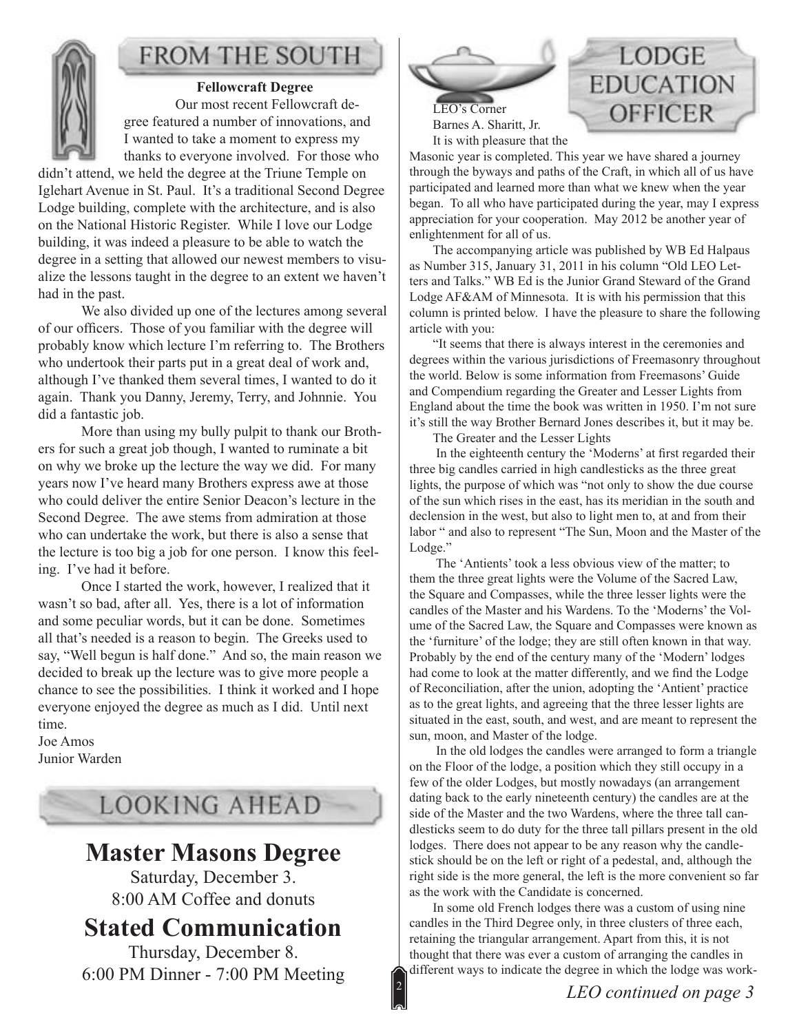

## **FROM THE SOUTH**

**Fellowcraft Degree** Our most recent Fellowcraft degree featured a number of innovations, and I wanted to take a moment to express my thanks to everyone involved. For those who

didn't attend, we held the degree at the Triune Temple on Iglehart Avenue in St. Paul. It's a traditional Second Degree Lodge building, complete with the architecture, and is also on the National Historic Register. While I love our Lodge building, it was indeed a pleasure to be able to watch the degree in a setting that allowed our newest members to visualize the lessons taught in the degree to an extent we haven't had in the past.

We also divided up one of the lectures among several of our officers. Those of you familiar with the degree will probably know which lecture I'm referring to. The Brothers who undertook their parts put in a great deal of work and, although I've thanked them several times, I wanted to do it again. Thank you Danny, Jeremy, Terry, and Johnnie. You did a fantastic job.

More than using my bully pulpit to thank our Brothers for such a great job though, I wanted to ruminate a bit on why we broke up the lecture the way we did. For many years now I've heard many Brothers express awe at those who could deliver the entire Senior Deacon's lecture in the Second Degree. The awe stems from admiration at those who can undertake the work, but there is also a sense that the lecture is too big a job for one person. I know this feeling. I've had it before.

Once I started the work, however, I realized that it wasn't so bad, after all. Yes, there is a lot of information and some peculiar words, but it can be done. Sometimes all that's needed is a reason to begin. The Greeks used to say, "Well begun is half done." And so, the main reason we decided to break up the lecture was to give more people a chance to see the possibilities. I think it worked and I hope everyone enjoyed the degree as much as I did. Until next time.

Joe Amos Junior Warden

## **LOOKING AHEAD**

#### **Master Masons Degree**

Saturday, December 3. 8:00 AM Coffee and donuts

**Stated Communication**

Thursday, December 8. 6:00 PM Dinner - 7:00 PM Meeting

2



## **LODGE EDUCATION OFFICER**

Barnes A. Sharitt, Jr. It is with pleasure that the

Masonic year is completed. This year we have shared a journey through the byways and paths of the Craft, in which all of us have participated and learned more than what we knew when the year began. To all who have participated during the year, may I express appreciation for your cooperation. May 2012 be another year of enlightenment for all of us.

The accompanying article was published by WB Ed Halpaus as Number 315, January 31, 2011 in his column "Old LEO Letters and Talks." WB Ed is the Junior Grand Steward of the Grand Lodge AF&AM of Minnesota. It is with his permission that this column is printed below. I have the pleasure to share the following article with you:

"It seems that there is always interest in the ceremonies and degrees within the various jurisdictions of Freemasonry throughout the world. Below is some information from Freemasons' Guide and Compendium regarding the Greater and Lesser Lights from England about the time the book was written in 1950. I'm not sure it's still the way Brother Bernard Jones describes it, but it may be.

The Greater and the Lesser Lights

 In the eighteenth century the 'Moderns' at first regarded their three big candles carried in high candlesticks as the three great lights, the purpose of which was "not only to show the due course of the sun which rises in the east, has its meridian in the south and declension in the west, but also to light men to, at and from their labor " and also to represent "The Sun, Moon and the Master of the Lodge."

 The 'Antients' took a less obvious view of the matter; to them the three great lights were the Volume of the Sacred Law, the Square and Compasses, while the three lesser lights were the candles of the Master and his Wardens. To the 'Moderns' the Volume of the Sacred Law, the Square and Compasses were known as the 'furniture' of the lodge; they are still often known in that way. Probably by the end of the century many of the 'Modern' lodges had come to look at the matter differently, and we find the Lodge of Reconciliation, after the union, adopting the 'Antient' practice as to the great lights, and agreeing that the three lesser lights are situated in the east, south, and west, and are meant to represent the sun, moon, and Master of the lodge.

 In the old lodges the candles were arranged to form a triangle on the Floor of the lodge, a position which they still occupy in a few of the older Lodges, but mostly nowadays (an arrangement dating back to the early nineteenth century) the candles are at the side of the Master and the two Wardens, where the three tall candlesticks seem to do duty for the three tall pillars present in the old lodges. There does not appear to be any reason why the candlestick should be on the left or right of a pedestal, and, although the right side is the more general, the left is the more convenient so far as the work with the Candidate is concerned.

In some old French lodges there was a custom of using nine candles in the Third Degree only, in three clusters of three each, retaining the triangular arrangement. Apart from this, it is not thought that there was ever a custom of arranging the candles in different ways to indicate the degree in which the lodge was work-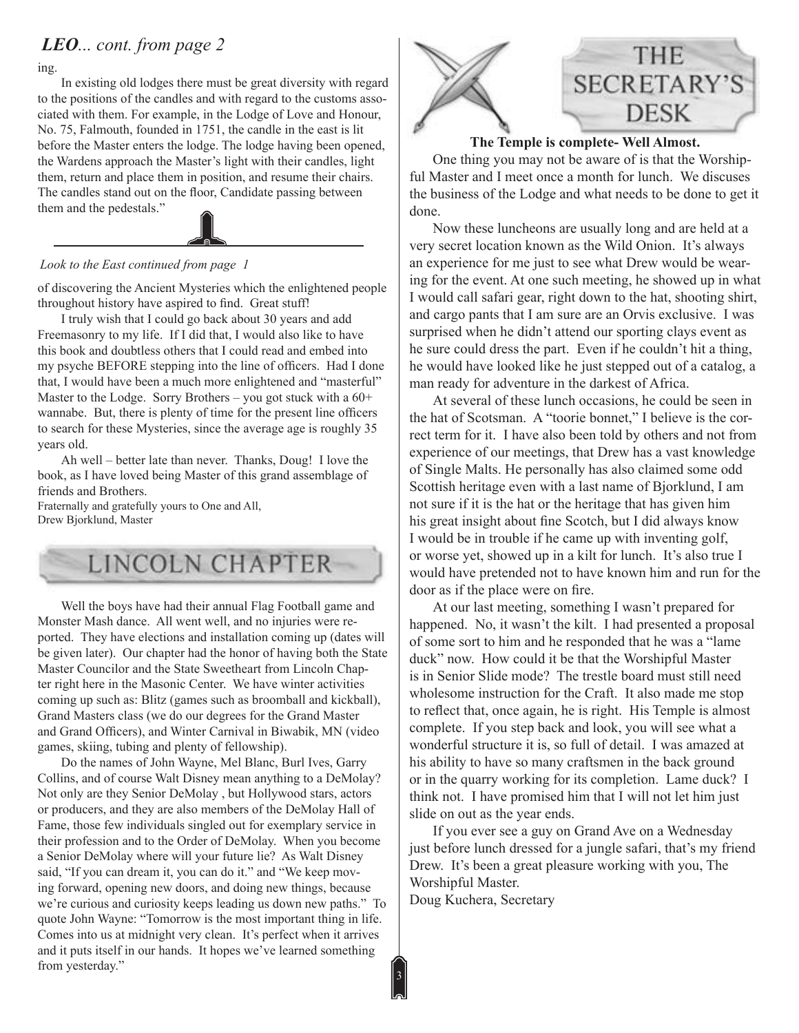#### *LEO... cont. from page 2*

ing.

In existing old lodges there must be great diversity with regard to the positions of the candles and with regard to the customs associated with them. For example, in the Lodge of Love and Honour, No. 75, Falmouth, founded in 1751, the candle in the east is lit before the Master enters the lodge. The lodge having been opened, the Wardens approach the Master's light with their candles, light them, return and place them in position, and resume their chairs. The candles stand out on the floor, Candidate passing between them and the pedestals."



of discovering the Ancient Mysteries which the enlightened people throughout history have aspired to find. Great stuff!

I truly wish that I could go back about 30 years and add Freemasonry to my life. If I did that, I would also like to have this book and doubtless others that I could read and embed into my psyche BEFORE stepping into the line of officers. Had I done that, I would have been a much more enlightened and "masterful" Master to the Lodge. Sorry Brothers – you got stuck with a  $60+$ wannabe. But, there is plenty of time for the present line officers to search for these Mysteries, since the average age is roughly 35 years old.

Ah well – better late than never. Thanks, Doug! I love the book, as I have loved being Master of this grand assemblage of friends and Brothers.

Fraternally and gratefully yours to One and All, Drew Bjorklund, Master



Well the boys have had their annual Flag Football game and Monster Mash dance. All went well, and no injuries were reported. They have elections and installation coming up (dates will be given later). Our chapter had the honor of having both the State Master Councilor and the State Sweetheart from Lincoln Chapter right here in the Masonic Center. We have winter activities coming up such as: Blitz (games such as broomball and kickball), Grand Masters class (we do our degrees for the Grand Master and Grand Officers), and Winter Carnival in Biwabik, MN (video games, skiing, tubing and plenty of fellowship).

Do the names of John Wayne, Mel Blanc, Burl Ives, Garry Collins, and of course Walt Disney mean anything to a DeMolay? Not only are they Senior DeMolay , but Hollywood stars, actors or producers, and they are also members of the DeMolay Hall of Fame, those few individuals singled out for exemplary service in their profession and to the Order of DeMolay. When you become a Senior DeMolay where will your future lie? As Walt Disney said, "If you can dream it, you can do it." and "We keep moving forward, opening new doors, and doing new things, because we're curious and curiosity keeps leading us down new paths." To quote John Wayne: "Tomorrow is the most important thing in life. Comes into us at midnight very clean. It's perfect when it arrives and it puts itself in our hands. It hopes we've learned something from yesterday."



**The Temple is complete- Well Almost.**

One thing you may not be aware of is that the Worshipful Master and I meet once a month for lunch. We discuses the business of the Lodge and what needs to be done to get it done.

Now these luncheons are usually long and are held at a very secret location known as the Wild Onion. It's always an experience for me just to see what Drew would be wearing for the event. At one such meeting, he showed up in what I would call safari gear, right down to the hat, shooting shirt, and cargo pants that I am sure are an Orvis exclusive. I was surprised when he didn't attend our sporting clays event as he sure could dress the part. Even if he couldn't hit a thing, he would have looked like he just stepped out of a catalog, a man ready for adventure in the darkest of Africa.

At several of these lunch occasions, he could be seen in the hat of Scotsman. A "toorie bonnet," I believe is the correct term for it. I have also been told by others and not from experience of our meetings, that Drew has a vast knowledge of Single Malts. He personally has also claimed some odd Scottish heritage even with a last name of Bjorklund, I am not sure if it is the hat or the heritage that has given him his great insight about fine Scotch, but I did always know I would be in trouble if he came up with inventing golf, or worse yet, showed up in a kilt for lunch. It's also true I would have pretended not to have known him and run for the door as if the place were on fire.

At our last meeting, something I wasn't prepared for happened. No, it wasn't the kilt. I had presented a proposal of some sort to him and he responded that he was a "lame duck" now. How could it be that the Worshipful Master is in Senior Slide mode? The trestle board must still need wholesome instruction for the Craft. It also made me stop to reflect that, once again, he is right. His Temple is almost complete. If you step back and look, you will see what a wonderful structure it is, so full of detail. I was amazed at his ability to have so many craftsmen in the back ground or in the quarry working for its completion. Lame duck? I think not. I have promised him that I will not let him just slide on out as the year ends.

If you ever see a guy on Grand Ave on a Wednesday just before lunch dressed for a jungle safari, that's my friend Drew. It's been a great pleasure working with you, The Worshipful Master.

Doug Kuchera, Secretary

3